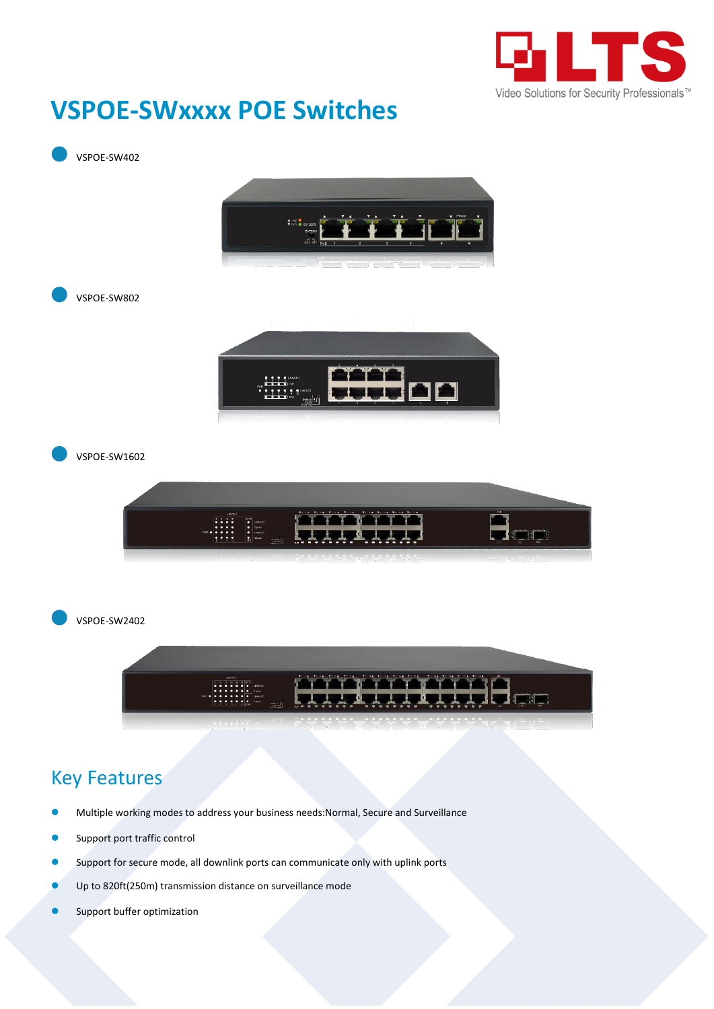

## **VSPOE-SWxxxx POE Switches**



- Multiple working modes to address your business needs:Normal, Secure and Surveillance
- Support port traffic control
- **O** Support for secure mode, all downlink ports can communicate only with uplink ports
- Up to 820ft(250m) transmission distance on surveillance mode
- **Support buffer optimization**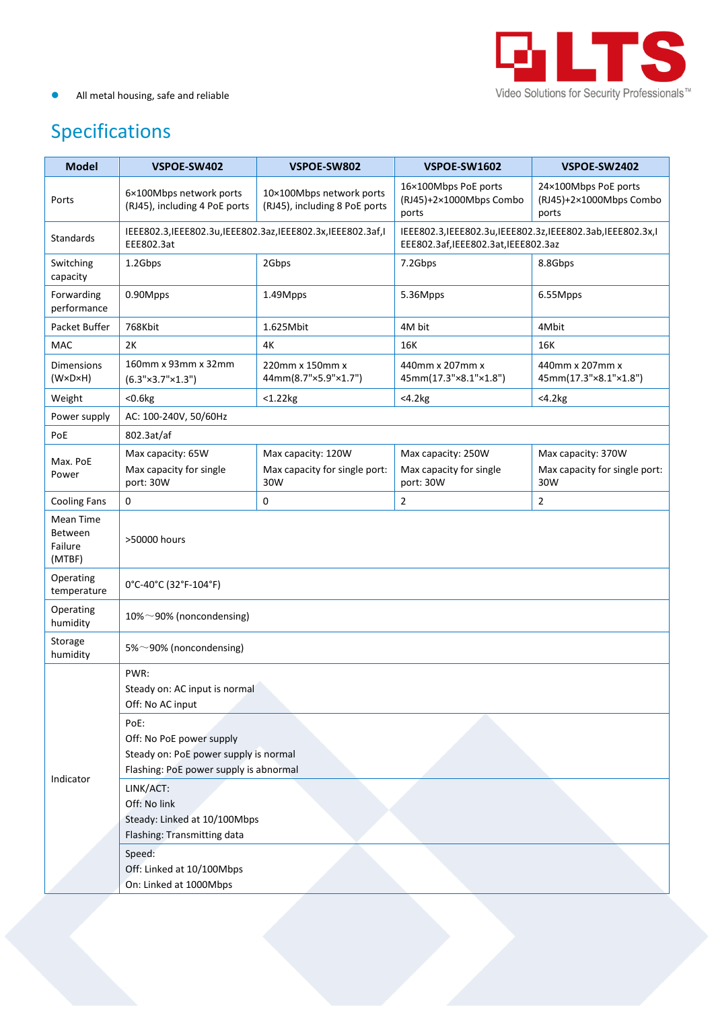

## All metal housing, safe and reliable

## Specifications

| <b>Model</b>                                     | VSPOE-SW402                                                                                                         | VSPOE-SW802                                                | VSPOE-SW1602                                                                                        | VSPOE-SW2402                                               |  |
|--------------------------------------------------|---------------------------------------------------------------------------------------------------------------------|------------------------------------------------------------|-----------------------------------------------------------------------------------------------------|------------------------------------------------------------|--|
| Ports                                            | 6×100Mbps network ports<br>(RJ45), including 4 PoE ports                                                            | 10×100Mbps network ports<br>(RJ45), including 8 PoE ports  | 16×100Mbps PoE ports<br>(RJ45)+2×1000Mbps Combo<br>ports                                            | 24×100Mbps PoE ports<br>(RJ45)+2×1000Mbps Combo<br>ports   |  |
| Standards                                        | IEEE802.3, IEEE802.3u, IEEE802.3az, IEEE802.3x, IEEE802.3af, I<br>EEE802.3at                                        |                                                            | IEEE802.3, IEEE802.3u, IEEE802.3z, IEEE802.3ab, IEEE802.3x, I<br>EEE802.3af,IEEE802.3at,IEEE802.3az |                                                            |  |
| Switching<br>capacity                            | 1.2Gbps                                                                                                             | 2Gbps                                                      | 7.2Gbps                                                                                             | 8.8Gbps                                                    |  |
| Forwarding<br>performance                        | 0.90Mpps                                                                                                            | 1.49Mpps                                                   | 5.36Mpps                                                                                            | 6.55Mpps                                                   |  |
| Packet Buffer                                    | 768Kbit                                                                                                             | 1.625Mbit                                                  | 4M bit                                                                                              | 4Mbit                                                      |  |
| MAC                                              | 2K                                                                                                                  | 4К                                                         | 16K                                                                                                 | 16K                                                        |  |
| <b>Dimensions</b><br>$(W \times D \times H)$     | 160mm x 93mm x 32mm<br>$(6.3" \times 3.7" \times 1.3")$                                                             | 220mm x 150mm x<br>44mm(8.7"×5.9"×1.7")                    | 440mm x 207mm x<br>45mm(17.3"×8.1"×1.8")                                                            | 440mm x 207mm x<br>45mm(17.3"×8.1"×1.8")                   |  |
| Weight                                           | < 0.6 kg                                                                                                            | $<$ 1.22 $kg$                                              | $<$ 4.2 $kg$                                                                                        | $<$ 4.2 $kg$                                               |  |
| Power supply                                     | AC: 100-240V, 50/60Hz                                                                                               |                                                            |                                                                                                     |                                                            |  |
| PoE                                              | 802.3at/af                                                                                                          |                                                            |                                                                                                     |                                                            |  |
| Max. PoE<br>Power                                | Max capacity: 65W<br>Max capacity for single<br>port: 30W                                                           | Max capacity: 120W<br>Max capacity for single port:<br>30W | Max capacity: 250W<br>Max capacity for single<br>port: 30W                                          | Max capacity: 370W<br>Max capacity for single port:<br>30W |  |
| <b>Cooling Fans</b>                              | $\mathbf 0$                                                                                                         | 0                                                          | $\overline{2}$                                                                                      | 2                                                          |  |
| Mean Time<br><b>Between</b><br>Failure<br>(MTBF) | >50000 hours                                                                                                        |                                                            |                                                                                                     |                                                            |  |
| Operating<br>temperature                         | 0°C-40°C (32°F-104°F)                                                                                               |                                                            |                                                                                                     |                                                            |  |
| Operating<br>humidity                            | 10%~90% (noncondensing)                                                                                             |                                                            |                                                                                                     |                                                            |  |
| Storage<br>humidity                              | 5%~90% (noncondensing)                                                                                              |                                                            |                                                                                                     |                                                            |  |
| Indicator                                        | PWR:<br>Steady on: AC input is normal<br>Off: No AC input                                                           |                                                            |                                                                                                     |                                                            |  |
|                                                  | PoE:<br>Off: No PoE power supply<br>Steady on: PoE power supply is normal<br>Flashing: PoE power supply is abnormal |                                                            |                                                                                                     |                                                            |  |
|                                                  | LINK/ACT:<br>Off: No link<br>Steady: Linked at 10/100Mbps<br>Flashing: Transmitting data                            |                                                            |                                                                                                     |                                                            |  |
|                                                  | Speed:<br>Off: Linked at 10/100Mbps<br>On: Linked at 1000Mbps                                                       |                                                            |                                                                                                     |                                                            |  |